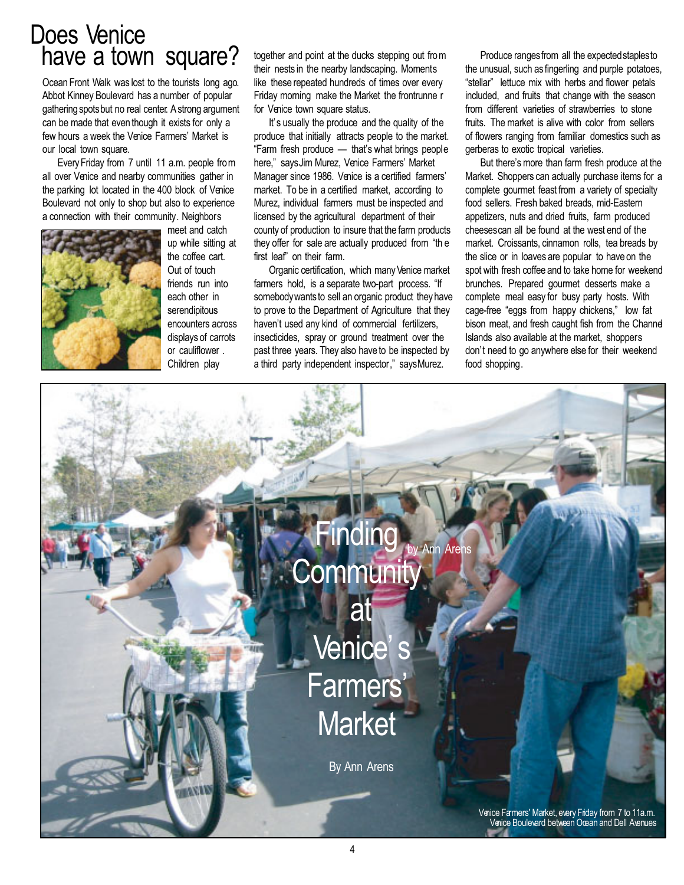## Does Venice have a town square?

Ocean Front Walk was lost to the tourists long ago. Abbot Kinney Boulevard has a number of popular gathering spotsbut no real center. A strong argument can be made that even though it exists for only a few hours a week the Venice Farmers' Market is our local town square.

Every Friday from 7 until 11 a.m. people from all over Venice and nearby communities gather in the parking lot located in the 400 block of Venice Boulevard not only to shop but also to experience a connection with their community. Neighbors



meet and catch up while sitting at the coffee cart. Out of touch friends run into each other in serendipitous encounters across displays of carrots or cauliflower . Children play

together and point at the ducks stepping out from their nests in the nearby landscaping. Moments like these repeated hundreds of times over every Friday morning make the Market the frontrunne r for Venice town square status.

It' s usually the produce and the quality of the produce that initially attracts people to the market. "Farm fresh produce — that's what brings people here," saysJim Murez, Venice Farmers' Market Manager since 1986. Venice is a certified farmers' market. To be in a certified market, according to Murez, individual farmers must be inspected and licensed by the agricultural department of their county of production to insure that the farm products they offer for sale are actually produced from "th e first leaf" on their farm.

Organic certification, which many Venice market farmers hold, is a separate two-part process. "If somebody wants to sell an organic product they have to prove to the Department of Agriculture that they haven't used any kind of commercial fertilizers, insecticides, spray or ground treatment over the past three years. They also have to be inspected by a third party independent inspector," saysMurez.

Produce rangesfrom all the expectedstaplesto the unusual, such as fingerling and purple potatoes, "stellar" lettuce mix with herbs and flower petals included, and fruits that change with the season from different varieties of strawberries to stone fruits. The market is alive with color from sellers of flowers ranging from familiar domestics such as gerberas to exotic tropical varieties.

But there's more than farm fresh produce at the Market. Shoppers can actually purchase items for a complete gourmet feast from a variety of specialty food sellers. Fresh baked breads, mid-Eastern appetizers, nuts and dried fruits, farm produced cheesescan all be found at the west end of the market. Croissants, cinnamon rolls, tea breads by the slice or in loaves are popular to have on the spot with fresh coffee and to take home for weekend brunches. Prepared gourmet desserts make a complete meal easy for busy party hosts. With cage-free "eggs from happy chickens," low fat bison meat, and fresh caught fish from the Channel Islands also available at the market, shoppers don't need to go anywhere else for their weekend food shopping.